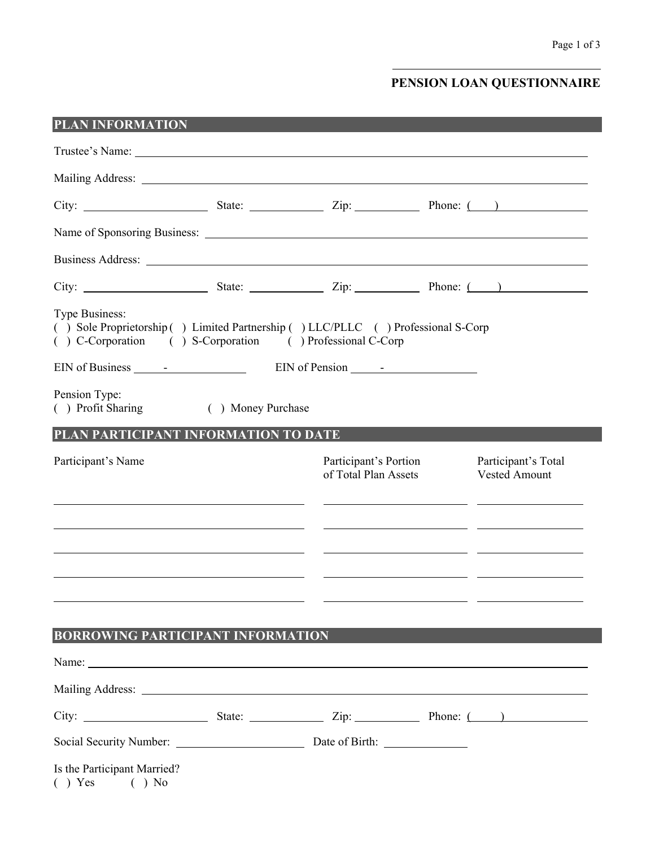## **PENSION LOAN QUESTIONNAIRE**

| PLAN INFORMATION                                                                                                                                                                                                                     |                    |                                               |  |                                                                                                                       |  |  |
|--------------------------------------------------------------------------------------------------------------------------------------------------------------------------------------------------------------------------------------|--------------------|-----------------------------------------------|--|-----------------------------------------------------------------------------------------------------------------------|--|--|
| Trustee's Name:                                                                                                                                                                                                                      |                    |                                               |  |                                                                                                                       |  |  |
|                                                                                                                                                                                                                                      |                    |                                               |  |                                                                                                                       |  |  |
| City: $\frac{\text{City:}}{\text{List:}}$ State: $\frac{\text{List:}}{\text{List:}}$ Zip: $\frac{\text{This:}}{\text{List:}}$ Phone: $\frac{\text{List:}}{\text{List:}}$                                                             |                    |                                               |  |                                                                                                                       |  |  |
|                                                                                                                                                                                                                                      |                    |                                               |  |                                                                                                                       |  |  |
| Business Address: <u>Quarterial and the contract of the contract of the contract of the contract of the contract of the contract of the contract of the contract of the contract of the contract of the contract of the contract</u> |                    |                                               |  |                                                                                                                       |  |  |
|                                                                                                                                                                                                                                      |                    |                                               |  |                                                                                                                       |  |  |
| Type Business:<br>() Sole Proprietorship () Limited Partnership () LLC/PLLC () Professional S-Corp<br>( ) C-Corporation ( ) S-Corporation ( ) Professional C-Corp                                                                    |                    |                                               |  |                                                                                                                       |  |  |
|                                                                                                                                                                                                                                      |                    |                                               |  |                                                                                                                       |  |  |
| Pension Type:<br>() Profit Sharing                                                                                                                                                                                                   | ( ) Money Purchase |                                               |  |                                                                                                                       |  |  |
| PLAN PARTICIPANT INFORMATION TO DATE                                                                                                                                                                                                 |                    |                                               |  |                                                                                                                       |  |  |
| Participant's Name                                                                                                                                                                                                                   |                    | Participant's Portion<br>of Total Plan Assets |  | Participant's Total<br><b>Vested Amount</b>                                                                           |  |  |
|                                                                                                                                                                                                                                      |                    |                                               |  | <u> 1989 - Johann Stoff, deutscher Stoff, der Stoff, der Stoff, der Stoff, der Stoff, der Stoff, der Stoff, der S</u> |  |  |
|                                                                                                                                                                                                                                      |                    |                                               |  | <u> 1989 - Johann John Stone, mars et al. (1989)</u>                                                                  |  |  |
|                                                                                                                                                                                                                                      |                    |                                               |  | <u> 1989 - Johann Stein, Amerikaansk politiker († 1908)</u>                                                           |  |  |
|                                                                                                                                                                                                                                      |                    |                                               |  |                                                                                                                       |  |  |
| <b>BORROWING PARTICIPANT INFORMATION</b>                                                                                                                                                                                             |                    |                                               |  |                                                                                                                       |  |  |
| Name:                                                                                                                                                                                                                                |                    |                                               |  |                                                                                                                       |  |  |
|                                                                                                                                                                                                                                      |                    |                                               |  |                                                                                                                       |  |  |
|                                                                                                                                                                                                                                      |                    |                                               |  |                                                                                                                       |  |  |
|                                                                                                                                                                                                                                      |                    |                                               |  |                                                                                                                       |  |  |
| Is the Participant Married?<br>$( )$ No<br>$( )$ Yes                                                                                                                                                                                 |                    |                                               |  |                                                                                                                       |  |  |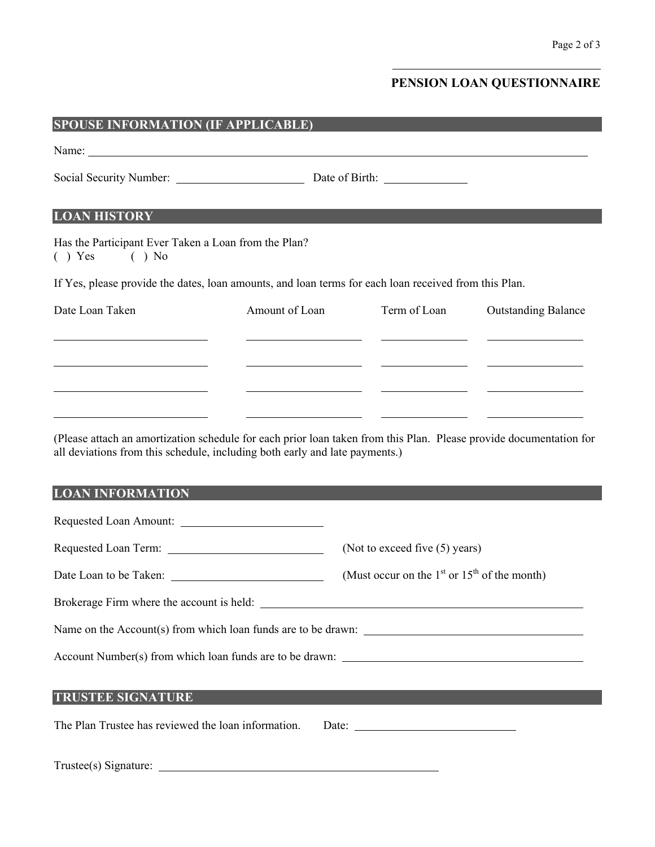## **PENSION LOAN QUESTIONNAIRE**

| <b>SPOUSE INFORMATION (IF APPLICABLE)</b>                                                                                                                                       |                |                                                          |                                                                                  |  |  |
|---------------------------------------------------------------------------------------------------------------------------------------------------------------------------------|----------------|----------------------------------------------------------|----------------------------------------------------------------------------------|--|--|
|                                                                                                                                                                                 |                |                                                          |                                                                                  |  |  |
|                                                                                                                                                                                 |                |                                                          |                                                                                  |  |  |
| <b>LOAN HISTORY</b>                                                                                                                                                             |                |                                                          |                                                                                  |  |  |
| Has the Participant Ever Taken a Loan from the Plan?<br>$( )$ Yes $( )$ No                                                                                                      |                |                                                          |                                                                                  |  |  |
| If Yes, please provide the dates, loan amounts, and loan terms for each loan received from this Plan.                                                                           |                |                                                          |                                                                                  |  |  |
| Date Loan Taken                                                                                                                                                                 | Amount of Loan | Term of Loan                                             | <b>Outstanding Balance</b>                                                       |  |  |
|                                                                                                                                                                                 |                |                                                          |                                                                                  |  |  |
| <u> 1989 - Johann Barbara, martin amerikan basar da</u>                                                                                                                         |                |                                                          | <u> 2000 - Jan James James (h. 1980).</u><br>1900 - James James James (h. 1900). |  |  |
|                                                                                                                                                                                 |                |                                                          | <u> 2000 - Andrea Andrew Maria (h. 1976).</u><br>2001 - Andrew Maria (h. 1982).  |  |  |
| <u> 1989 - Johann Barbara, martxa amerikan personal (</u><br>(Please attach an amortization schedule for each prior loan taken from this Plan. Please provide documentation for |                |                                                          |                                                                                  |  |  |
| all deviations from this schedule, including both early and late payments.)                                                                                                     |                |                                                          |                                                                                  |  |  |
| <b>LOAN INFORMATION</b>                                                                                                                                                         |                |                                                          |                                                                                  |  |  |
|                                                                                                                                                                                 |                |                                                          |                                                                                  |  |  |
|                                                                                                                                                                                 |                | (Not to exceed five (5) years)                           |                                                                                  |  |  |
| Date Loan to be Taken:                                                                                                                                                          |                | (Must occur on the $1st$ or $15th$ of the month)         |                                                                                  |  |  |
|                                                                                                                                                                                 |                |                                                          |                                                                                  |  |  |
|                                                                                                                                                                                 |                |                                                          |                                                                                  |  |  |
| Account Number(s) from which loan funds are to be drawn:                                                                                                                        |                |                                                          |                                                                                  |  |  |
|                                                                                                                                                                                 |                |                                                          |                                                                                  |  |  |
| <b>TRUSTEE SIGNATURE</b>                                                                                                                                                        |                |                                                          |                                                                                  |  |  |
| The Plan Trustee has reviewed the loan information.                                                                                                                             |                | Date: $\frac{1}{\sqrt{1-\frac{1}{2}} \cdot \frac{1}{2}}$ |                                                                                  |  |  |
| Trustee(s) Signature:                                                                                                                                                           |                |                                                          |                                                                                  |  |  |